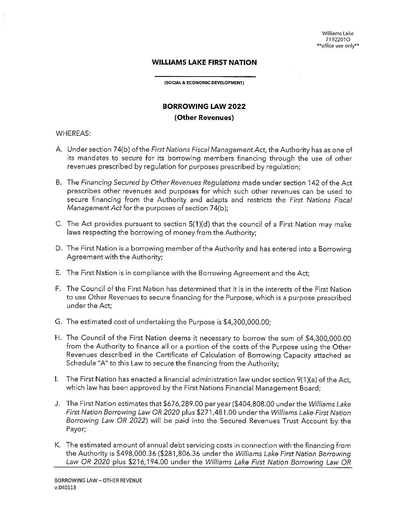## **WILLIAMS LAKE FIRST NATION**

**{SOCIAL & ECONOMIC DEVELOPMENT)** 

## **BORROWING LAW 2022 (Other Revenues)**

## WHEREAS:

- A. Under section 74(6) of the *First Nations Fiscal Management Act,* the Authority has as one of its mandates to secure for its borrowing members financing through the use of other revenues prescribed by regulation for purposes prescribed by regulation;
- B. The *Financing Secured by Other Revenues Regulations* made under section 142 of the Act prescribes other revenues and purposes for which such other revenues can be used to secure financing from the Authority and adapts and restricts the *First Nations Fiscal Management Act for the purposes of section 74(b);*
- C. The Act provides pursuant to section  $5(1)(d)$  that the council of a First Nation may make laws respecting the borrowing of money from the Authority;
- D. The First Nation is a borrowing member of the Authority and has entered into a Borrowing Agreement with the Authority;
- E. The First Nation is in compliance with the Borrowing Agreement and the Act;
- F. The Council of the First Nation has determined that it is in the interests of the First Nation to use Other Revenues to secure financing for the Purpose, which is a purpose prescribed under the Act;
- G. The estimated cost of undertaking the Purpose is \$4,300,000.00;
- H. The Council of the First Nation deems it necessary to borrow the sum of \$4,300,000.00 from the Authority to finance all or a portion of the costs of the Purpose using the Other Revenues described in the Certificate of Calculation of Borrowing Capacity attached as Schedule "A" to this Law to secure the financing from the Authority;
- I. The First Nation has enacted a financial administration law under section  $9(1)(a)$  of the Act, which law has been approved by the First Nations Financial Management Board;
- J. The First Nation estimates that \$676,289.00 per year (\$404,808.00 under the *Williams Lake First Nation Borrowing Law OR 2020* plus \$271,481.00 under the *Williams Lake First Nation Borrowing Law OR* 2022) will be paid into the Secured Revenues Trust Account by the Payor;
- K. The estimated amount of annual debt servicing costs in connection with the financing from the Authority is \$498,000.36 (\$281,806.36 under the *Williams Lake First Nation Borrowing Law OR 2020* plus \$216,194.00 under the *Williams Lake First Nation Borrowing Law OR*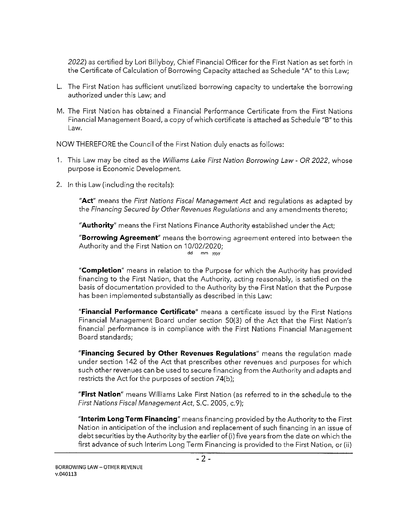2022) as certified by Lori Billyboy, Chief Financial Officer for the First Nation as set forth in the Certificate of Calculation of Borrowing Capacity attached as Schedule "A" to this Law;

- L. The First Nation has sufficient unutilized borrowing capacity to undertake the borrowing authorized under this Law; and
- M. The First Nation has obtained a Financial Performance Certificate from the First Nations Financial Management Board, a copy of which certificate is attached as Schedule "B" to this Law.

NOW THEREFORE the Council of the First Nation duly enacts as follows:

- 1. This Law may be cited as the *Williams Lake First Nation Borrowing Law OR 2022,* whose purpose is Economic Development.
- 2. In this Law (including the recitals):

**"Act"** means the *First Nations Fiscal Management Act* and regulations as adapted by the *Financing Secured by Other Revenues Regulations* and any amendments thereto;

**"Authority"** means the First Nations Finance Authority established under the Act;

**"Borrowing Agreement"** means the borrowing agreement entered into between the Authority and the First Nation on 10/02/2020; **dd mm yyyy** 

**"Completion"** means in relation to the Purpose for which the Authority has provided financing to the First Nation, that the Authority, acting reasonably, is satisfied on the basis of documentation provided to the Authority by the First Nation that the Purpose has been implemented substantially as described in this Law:

**"Financial Performance Certificate"** means a certificate issued by the First Nations Financial Management Board under section 50(3) of the Act that the First Nation's financial performance is in compliance with the First Nations Financial Management Board standards;

**"Financing Secured by Other Revenues Regulations"** means the regulation made under section 142 of the Act that prescribes other revenues and purposes for which such other revenues can be used to secure financing from the Authority and adapts and restricts the Act for the purposes of section 74(b);

**"First Nation"** means Williams Lake First Nation (as referred to in the schedule to the *First Nations Fiscal Management Act,* S.C. 2005, c.9);

**"Interim Long Term Financing"** means financing provided by the Authority to the First Nation in anticipation of the inclusion and replacement of such financing in an issue of debt securities by the Authority by the earlier of (i) five years from the date on which the first advance of such Interim Long Term Financing is provided to the First Nation, or (ii)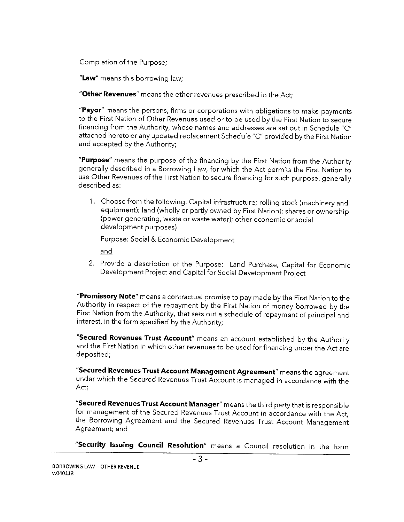Completion of the Purpose;

**"Law<sup>11</sup>means this borrowing law;** 

**"Other Revenues"** means the other revenues prescribed in the Act;

**"Payor"** means the persons, firms or corporations with obligations to make payments to the First Nation of Other Revenues used or to be used by the First Nation to secure financing from the Authority, whose names and addresses are set out in Schedule "C" attached hereto or any updated replacement Schedule "C" provided by the First Nation and accepted by the Authority;

**"Purpose"** means the purpose of the financing by the First Nation from the Authority generally described in a Borrowing Law, for which the Act permits the First Nation to use Other Revenues of the First Nation to secure financing for such purpose, generally described as:

1. Choose from the following: Capital infrastructure; rolling stock (machinery and equipment); land (wholly or partly owned by First Nation); shares or ownership (power generating, waste or waste water); other economic or social development purposes)

Purpose: Social & Economic Development

and

2. Provide a description of the Purpose: Land Purchase, Capital for Economic Development Project and Capital for Social Development Project

**"Promissory Note"** means a contractual promise to pay made by the First Nation to the Authority in respect of the repayment by the First Nation of money borrowed by the First Nation from the Authority, that sets out a schedule of repayment of principal and interest, in the form specified by the Authority;

**"Secured Revenues Trust Account"** means an account established by the Authority and the First Nation in which other revenues to be used for financing under the Act are deposited;

**"Secured Revenues Trust Account Management Agreement"** means the agreement under which the Secured Revenues Trust Account is managed in accordance with the Act;

**"Secured Revenues Trust Account Manager"** means the third party that is responsible for management of the Secured Revenues Trust Account in accordance with the Act, the Borrowing Agreement and the Secured Revenues Trust Account Management Agreement; and

**"Security Issuing Council Resolution"** means a Council resolution in the form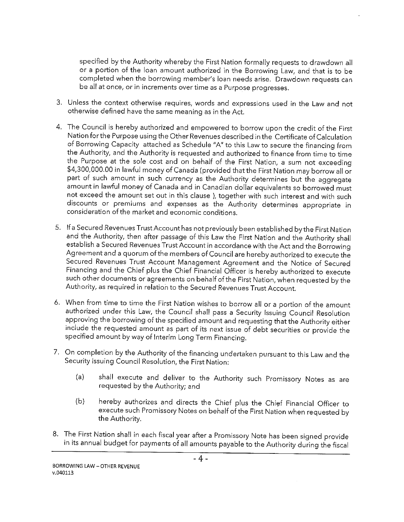specified by the Authority whereby the First Nation formally requests to drawdown all or a portion of the loan amount authorized in the Borrowing Law, and that is to be completed when the borrowing member's loan needs arise. Drawdown requests can be all at once, or in increments over time as a Purpose progresses.

- 3. Unless the context otherwise requires, words and expressions used in the Law and not otherwise defined have the same meaning as in the Act.
- 4. The Council is hereby authorized and empowered to borrow upon the credit of the First Nation for the Purpose using the Other Revenues described in the Certificate of Calculation of Borrowing Capacity attached as Schedule "A" to this Law to secure the financing from the Authority, and the Authority is requested and authorized to finance from time to time the Purpose at the sole cost and on behalf of the First Nation, a sum not exceeding \$4,300,000.00 in lawful money of Canada (provided that the First Nation may borrow all or part of such amount in such currency as the Authority determines but the aggregate amount in lawful money of Canada and in Canadian dollar equivalents so borrowed must not exceed the amount set out in this clause ), together with such interest and with such discounts or premiums and expenses as the Authority determines appropriate in consideration of the market and economic conditions.
- 5. If a Secured Revenues Trust Account has not previously been established by the First Nation and the Authority, then after passage of this Law the First Nation and the Authority shall establish a Secured Revenues Trust Account in accordance with the Act and the Borrowing Agreement and a quorum of the members of Council are hereby authorized to execute the Secured Revenues Trust Account Management Agreement and the Notice of Secured Financing and the Chief plus the Chief Financial Officer is hereby authorized to execute such other documents or agreements on behalf of the First Nation, when requested by the Authority, as required in relation to the Secured Revenues Trust Account.
- 6. When from time to time the First Nation wishes to borrow all or a portion of the amount authorized under this Law, the Council shall pass a Security Issuing Council Resolution approving the borrowing of the specified amount and requesting that the Authority either include the requested amount as part of its next issue of debt securities or provide the specified amount by way of Interim Long Term Financing.
- 7. On completion by the Authority of the financing undertaken pursuant to this Law and the Security Issuing Council Resolution, the First Nation:
	- (a) shall execute and deliver to the Authority such Promissory Notes as are requested by the Authority; and
	- (b) hereby authorizes and directs the Chief plus the Chief Financial Officer to execute such Promissory Notes on behalf of the First Nation when requested by the Authority.
- 8. The First Nation shall in each fiscal year after a Promissory Note has been signed provide in its annual budget for payments of all amounts payable to the Authority during the fiscal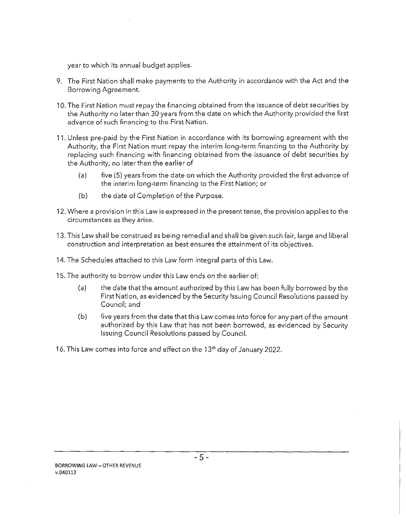year to which its annual budget applies.

- 9. The First Nation shall make payments to the Authority in accordance with the Act and the Borrowing Agreement.
- 10. The First Nation must repay the financing obtained from the issuance of debt securities by the Authority no later than 30 years from the date on which the Authority provided the first advance of such financing to the First Nation.
- 11. Unless pre-paid by the First Nation in accordance with its borrowing agreement with the Authority, the First Nation must repay the interim long-term financing to the Authority by replacing such financing with financing obtained from the issuance of debt securities by the Authority, no later than the earlier of
	- (a) five (5) years from the date on which the Authority provided the first advance of the interim long-term financing to the First Nation; or
	- (b) the date of Completion of the Purpose.
- 12. Where a provision in this Law is expressed in the present tense, the provision applies to the circumstances as they arise.
- 13. This Law shall be construed as being remedial and shall be given such fair, large and liberal construction and interpretation as best ensures the attainment of its objectives.
- 14. The Schedules attached to this Law form integral parts of this Law.
- 15. The authority to borrow under this Law ends on the earlier of:
	- (a) the date that the amount authorized by this Law has been fully borrowed by the First Nation, as evidenced by the Security Issuing Council Resolutions passed by Council; and
	- (b) five years from the date that this Law comes into force for any part ofthe amount authorized by this Law that has not been borrowed, as evidenced by Security Issuing Council Resolutions passed by Council.
- 16. This Law comes into force and effect on the 13<sup>th</sup> day of January 2022.